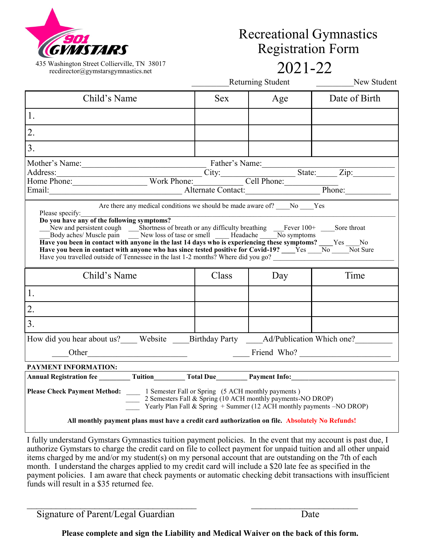

435 Washington Street Collierville, TN 38017<br>
recdirector@eymstarseymnastics net 2021-22 recdirector@gymstarsgymnastics.net

# Recreational Gymnastics Registration Form

|  | Returning Student |  |
|--|-------------------|--|

New Student

| Child's Name                                                                                                                                                                                                                                                                                                                                                                                                                                                                                                                                                                                                                                                          | <b>Sex</b> | Age                                                                                           | Date of Birth |  |  |
|-----------------------------------------------------------------------------------------------------------------------------------------------------------------------------------------------------------------------------------------------------------------------------------------------------------------------------------------------------------------------------------------------------------------------------------------------------------------------------------------------------------------------------------------------------------------------------------------------------------------------------------------------------------------------|------------|-----------------------------------------------------------------------------------------------|---------------|--|--|
| 1.                                                                                                                                                                                                                                                                                                                                                                                                                                                                                                                                                                                                                                                                    |            |                                                                                               |               |  |  |
| $\overline{2}$ .                                                                                                                                                                                                                                                                                                                                                                                                                                                                                                                                                                                                                                                      |            |                                                                                               |               |  |  |
| 3.                                                                                                                                                                                                                                                                                                                                                                                                                                                                                                                                                                                                                                                                    |            |                                                                                               |               |  |  |
| Mother's Name:<br>Address:<br>Home Phone: Work Phone: Work Phone: City: Cell Phone: City: Cell Phone: City: Cell Phone: Phone: Phone: Phone: Phone: Phone: Phone: Phone: Phone: Phone: Phone: Phone: Phone: Phone: Phone: Phone: P                                                                                                                                                                                                                                                                                                                                                                                                                                    |            |                                                                                               |               |  |  |
| Are there any medical conditions we should be made aware of? No Nes<br>Please specify:<br>Do you have any of the following symptoms?<br>New and persistent cough Shortness of breath or any difficulty breathing Fever $100^+$ Sore throat Body aches/Muscle pain New loss of tase or smell Headache No symptoms<br>Have you been in contact with anyone in the last 14 days who is experiencing these symptoms? ____Yes ____No<br>Have you been in contact with anyone who has since tested positive for Covid-19? $\frac{\ }{1}$ Yes $\frac{\ }{1}$ No $\frac{\ }{1}$ Not Sure<br>Have you travelled outside of Tennessee in the last 1-2 months? Where did you go? |            |                                                                                               |               |  |  |
| Child's Name                                                                                                                                                                                                                                                                                                                                                                                                                                                                                                                                                                                                                                                          | Class      | Day                                                                                           | Time          |  |  |
| 1.                                                                                                                                                                                                                                                                                                                                                                                                                                                                                                                                                                                                                                                                    |            |                                                                                               |               |  |  |
| 2.                                                                                                                                                                                                                                                                                                                                                                                                                                                                                                                                                                                                                                                                    |            |                                                                                               |               |  |  |
| 3.                                                                                                                                                                                                                                                                                                                                                                                                                                                                                                                                                                                                                                                                    |            |                                                                                               |               |  |  |
| How did you hear about us?____ Website _____ Birthday Party ______Ad/Publication Which one?_________                                                                                                                                                                                                                                                                                                                                                                                                                                                                                                                                                                  |            |                                                                                               |               |  |  |
|                                                                                                                                                                                                                                                                                                                                                                                                                                                                                                                                                                                                                                                                       |            | $\frac{1}{\sqrt{1-\frac{1}{2}}\sqrt{1-\frac{1}{2}}\sqrt{1-\frac{1}{2}}\sqrt{1-\frac{1}{2}}}}$ |               |  |  |
| PAYMENT INFORMATION:                                                                                                                                                                                                                                                                                                                                                                                                                                                                                                                                                                                                                                                  |            |                                                                                               |               |  |  |
| Annual Registration fee __________ Tuition__________ Total Due__________ Payment Info:________________________                                                                                                                                                                                                                                                                                                                                                                                                                                                                                                                                                        |            |                                                                                               |               |  |  |
| <b>Please Check Payment Method:</b> 1 Semester Fall or Spring (5 ACH monthly payments)<br>2 Semesters Fall & Spring (10 ACH monthly payments-NO DROP)<br>Yearly Plan Fall & Spring $+$ Summer (12 ACH monthly payments $-NO DROP$ )                                                                                                                                                                                                                                                                                                                                                                                                                                   |            |                                                                                               |               |  |  |
| All monthly payment plans must have a credit card authorization on file. Absolutely No Refunds!                                                                                                                                                                                                                                                                                                                                                                                                                                                                                                                                                                       |            |                                                                                               |               |  |  |

I fully understand Gymstars Gymnastics tuition payment policies. In the event that my account is past due, I authorize Gymstars to charge the credit card on file to collect payment for unpaid tuition and all other unpaid items charged by me and/or my student(s) on my personal account that are outstanding on the 7th of each month. I understand the charges applied to my credit card will include a \$20 late fee as specified in the payment policies. I am aware that check payments or automatic checking debit transactions with insufficient funds will result in a \$35 returned fee.

Signature of Parent/Legal Guardian Date

**Please complete and sign the Liability and Medical Waiver on the back of this form.**

 $\_$  , and the contribution of the contribution of  $\mathcal{L}_\mathcal{A}$  , and the contribution of  $\mathcal{L}_\mathcal{A}$